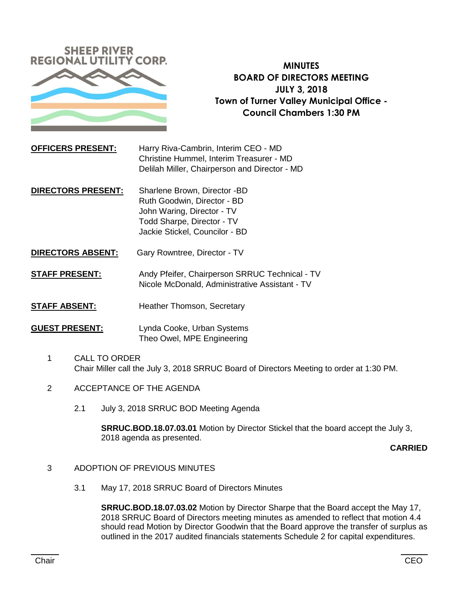

**MINUTES BOARD OF DIRECTORS MEETING JULY 3, 2018 Town of Turner Valley Municipal Office - Council Chambers 1:30 PM**

**OFFICERS PRESENT:** Harry Riva-Cambrin, Interim CEO - MD Christine Hummel, Interim Treasurer - MD Delilah Miller, Chairperson and Director - MD

- **DIRECTORS PRESENT:** Sharlene Brown, Director -BD Ruth Goodwin, Director - BD John Waring, Director - TV Todd Sharpe, Director - TV Jackie Stickel, Councilor - BD
- **DIRECTORS ABSENT:** Gary Rowntree, Director TV

**STAFF PRESENT:** Andy Pfeifer, Chairperson SRRUC Technical - TV Nicole McDonald, Administrative Assistant - TV

**STAFF ABSENT:** Heather Thomson, Secretary

**GUEST PRESENT:** Lynda Cooke, Urban Systems Theo Owel, MPE Engineering

- 1 CALL TO ORDER Chair Miller call the July 3, 2018 SRRUC Board of Directors Meeting to order at 1:30 PM.
- 2 ACCEPTANCE OF THE AGENDA
	- 2.1 July 3, 2018 SRRUC BOD Meeting Agenda

**SRRUC.BOD.18.07.03.01** Motion by Director Stickel that the board accept the July 3, 2018 agenda as presented.

**CARRIED**

- 3 ADOPTION OF PREVIOUS MINUTES
	- 3.1 May 17, 2018 SRRUC Board of Directors Minutes

**SRRUC.BOD.18.07.03.02** Motion by Director Sharpe that the Board accept the May 17, 2018 SRRUC Board of Directors meeting minutes as amended to reflect that motion 4.4 should read Motion by Director Goodwin that the Board approve the transfer of surplus as outlined in the 2017 audited financials statements Schedule 2 for capital expenditures.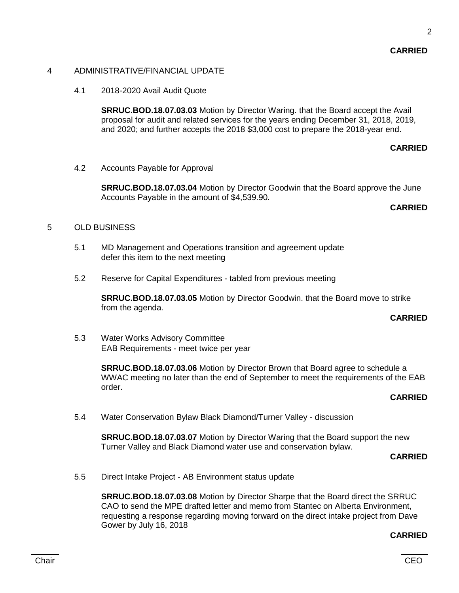### 4 ADMINISTRATIVE/FINANCIAL UPDATE

4.1 2018-2020 Avail Audit Quote

**SRRUC.BOD.18.07.03.03** Motion by Director Waring. that the Board accept the Avail proposal for audit and related services for the years ending December 31, 2018, 2019, and 2020; and further accepts the 2018 \$3,000 cost to prepare the 2018-year end.

## **CARRIED**

4.2 Accounts Payable for Approval

**SRRUC.BOD.18.07.03.04** Motion by Director Goodwin that the Board approve the June Accounts Payable in the amount of \$4,539.90.

### **CARRIED**

# 5 OLD BUSINESS

- 5.1 MD Management and Operations transition and agreement update defer this item to the next meeting
- 5.2 Reserve for Capital Expenditures tabled from previous meeting

**SRRUC.BOD.18.07.03.05** Motion by Director Goodwin. that the Board move to strike from the agenda.

# **CARRIED**

5.3 Water Works Advisory Committee EAB Requirements - meet twice per year

> **SRRUC.BOD.18.07.03.06** Motion by Director Brown that Board agree to schedule a WWAC meeting no later than the end of September to meet the requirements of the EAB order.

# **CARRIED**

5.4 Water Conservation Bylaw Black Diamond/Turner Valley - discussion

**SRRUC.BOD.18.07.03.07** Motion by Director Waring that the Board support the new Turner Valley and Black Diamond water use and conservation bylaw.

**CARRIED**

5.5 Direct Intake Project - AB Environment status update

**SRRUC.BOD.18.07.03.08** Motion by Director Sharpe that the Board direct the SRRUC CAO to send the MPE drafted letter and memo from Stantec on Alberta Environment, requesting a response regarding moving forward on the direct intake project from Dave Gower by July 16, 2018

#### **CARRIED**